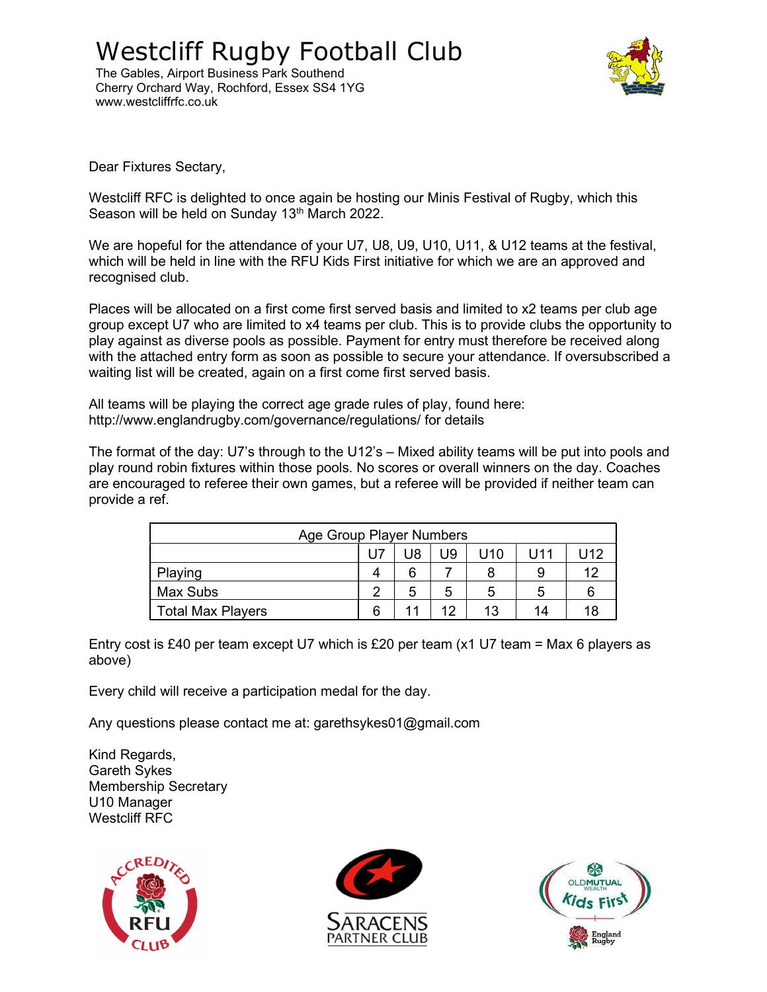## Westcliff Rugby Football Club

The Gables, Airport Business Park Southend Cherry Orchard Way, Rochford, Essex SS4 1YG www.westcliffrfc.co.uk



Dear Fixtures Sectary,

Westcliff RFC is delighted to once again be hosting our Minis Festival of Rugby, which this Season will be held on Sunday 13<sup>th</sup> March 2022.

We are hopeful for the attendance of your U7, U8, U9, U10, U11, & U12 teams at the festival, which will be held in line with the RFU Kids First initiative for which we are an approved and recognised club.

Places will be allocated on a first come first served basis and limited to x2 teams per club age group except U7 who are limited to x4 teams per club. This is to provide clubs the opportunity to play against as diverse pools as possible. Payment for entry must therefore be received along with the attached entry form as soon as possible to secure your attendance. If oversubscribed a waiting list will be created, again on a first come first served basis.

All teams will be playing the correct age grade rules of play, found here: http://www.englandrugby.com/governance/regulations/ for details

The format of the day: U7's through to the U12's – Mixed ability teams will be put into pools and play round robin fixtures within those pools. No scores or overall winners on the day. Coaches are encouraged to referee their own games, but a referee will be provided if neither team can provide a ref.

| Age Group Player Numbers |   |    |    |     |        |     |  |  |  |
|--------------------------|---|----|----|-----|--------|-----|--|--|--|
|                          |   | U8 | U9 | U10 | l J 11 | U12 |  |  |  |
| Playing                  |   | 6  |    |     | 9      | 10  |  |  |  |
| Max Subs                 | ◠ | 5  | 5  | 5   | 5      |     |  |  |  |
| <b>Total Max Players</b> |   |    | 19 | 13  | 14     |     |  |  |  |

Entry cost is £40 per team except U7 which is £20 per team  $(x1 U7$  team = Max 6 players as above)

Every child will receive a participation medal for the day.

Any questions please contact me at: garethsykes01@gmail.com

Kind Regards, Gareth Sykes Membership Secretary U10 Manager Westcliff RFC